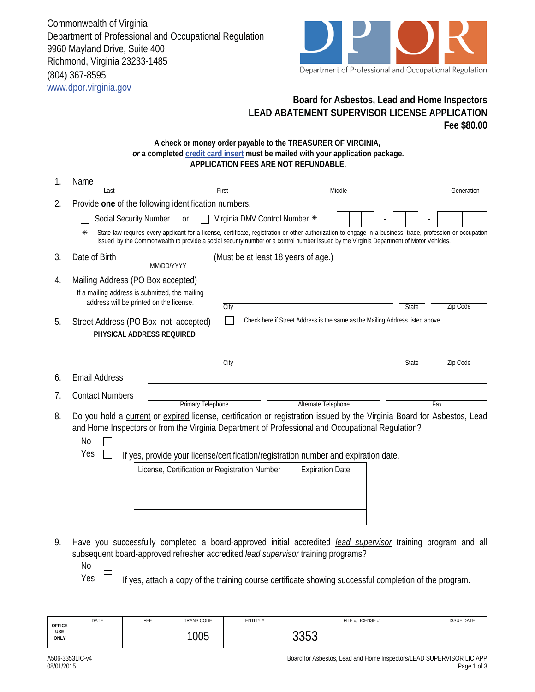Commonwealth of Virginia Department of Professional and Occupational Regulation 9960 Mayland Drive, Suite 400 Richmond, Virginia 23233-1485 (804) 367-8595 www.dpor.virginia.gov



## **Board for Asbestos, Lead and Home Inspectors LEAD ABATEMENT SUPERVISOR LICENSE APPLICATION Fee \$80.00**

## **A check or money order payable to the TREASURER OF VIRGINIA,**  *or* **a completed credit card insert must be mailed with your application package. APPLICATION FEES ARE NOT REFUNDABLE.**

| 1. | Name                                                                                                                                                                                                                                                                                                                                   |                                     |                                                                                                        |            |  |  |  |
|----|----------------------------------------------------------------------------------------------------------------------------------------------------------------------------------------------------------------------------------------------------------------------------------------------------------------------------------------|-------------------------------------|--------------------------------------------------------------------------------------------------------|------------|--|--|--|
|    | First<br>Last                                                                                                                                                                                                                                                                                                                          |                                     | Middle                                                                                                 | Generation |  |  |  |
| 2. | Provide one of the following identification numbers.                                                                                                                                                                                                                                                                                   |                                     |                                                                                                        |            |  |  |  |
|    | <b>Social Security Number</b><br>0r                                                                                                                                                                                                                                                                                                    | Virginia DMV Control Number *       |                                                                                                        |            |  |  |  |
|    | State law requires every applicant for a license, certificate, registration or other authorization to engage in a business, trade, profession or occupation<br>⋇<br>issued by the Commonwealth to provide a social security number or a control number issued by the Virginia Department of Motor Vehicles.                            |                                     |                                                                                                        |            |  |  |  |
| 3. | Date of Birth<br>MM/DD/YYYY                                                                                                                                                                                                                                                                                                            | (Must be at least 18 years of age.) |                                                                                                        |            |  |  |  |
| 4. | Mailing Address (PO Box accepted)                                                                                                                                                                                                                                                                                                      |                                     |                                                                                                        |            |  |  |  |
|    | If a mailing address is submitted, the mailing                                                                                                                                                                                                                                                                                         |                                     |                                                                                                        |            |  |  |  |
|    | address will be printed on the license.                                                                                                                                                                                                                                                                                                | City                                | <b>State</b>                                                                                           | Zip Code   |  |  |  |
| 5. | Street Address (PO Box not accepted)<br>PHYSICAL ADDRESS REQUIRED                                                                                                                                                                                                                                                                      |                                     | Check here if Street Address is the same as the Mailing Address listed above.                          |            |  |  |  |
|    |                                                                                                                                                                                                                                                                                                                                        | City                                | State                                                                                                  | Zip Code   |  |  |  |
| 6. | <b>Email Address</b>                                                                                                                                                                                                                                                                                                                   |                                     |                                                                                                        |            |  |  |  |
| 7. | <b>Contact Numbers</b>                                                                                                                                                                                                                                                                                                                 |                                     |                                                                                                        |            |  |  |  |
|    | <b>Primary Telephone</b>                                                                                                                                                                                                                                                                                                               | Alternate Telephone                 | Fax                                                                                                    |            |  |  |  |
| 8. | Do you hold a current or expired license, certification or registration issued by the Virginia Board for Asbestos, Lead<br>and Home Inspectors or from the Virginia Department of Professional and Occupational Regulation?<br><b>No</b><br>Yes<br>If yes, provide your license/certification/registration number and expiration date. |                                     |                                                                                                        |            |  |  |  |
|    | License, Certification or Registration Number                                                                                                                                                                                                                                                                                          | <b>Expiration Date</b>              |                                                                                                        |            |  |  |  |
|    |                                                                                                                                                                                                                                                                                                                                        |                                     |                                                                                                        |            |  |  |  |
|    |                                                                                                                                                                                                                                                                                                                                        |                                     |                                                                                                        |            |  |  |  |
|    |                                                                                                                                                                                                                                                                                                                                        |                                     |                                                                                                        |            |  |  |  |
|    |                                                                                                                                                                                                                                                                                                                                        |                                     |                                                                                                        |            |  |  |  |
| 9. | Have you successfully completed a board-approved initial accredited <i>lead supervisor</i> training program and all<br>subsequent board-approved refresher accredited lead supervisor training programs?<br><b>No</b><br>Yes                                                                                                           |                                     | If yes, attach a copy of the training course certificate showing successful completion of the program. |            |  |  |  |

| <b>OFFICE</b><br><b>USE</b><br>ONLY | DATE | FEE | <b>TRANS CODE</b> | ENTITY# | FILE #/LICENSE #                  | <b>ISSUE DATE</b> |
|-------------------------------------|------|-----|-------------------|---------|-----------------------------------|-------------------|
|                                     |      |     | 1005              |         | $\cap$ $\cap$ $\cap$<br>ь<br>ບບບບ |                   |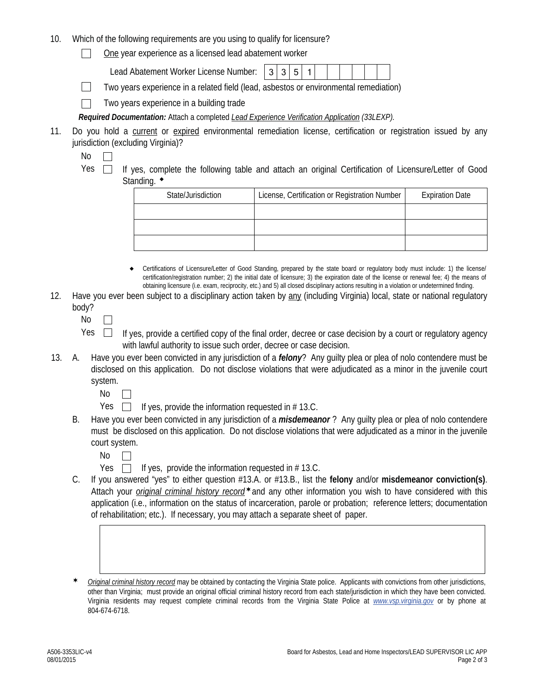- 10. Which of the following requirements are you using to qualify for licensure?
	- One year experience as a licensed lead abatement worker  $\Box$

Lead Abatement Worker License Number:

 $\Box$ Two years experience in a related field (lead, asbestos or environmental remediation)

Two years experience in a building trade  $\Box$ 

*Required Documentation:* Attach a completed *Lead Experience Verification Application (33LEXP).* 

- 11. Do you hold a current or expired environmental remediation license, certification or registration issued by any jurisdiction (excluding Virginia)?
	- No  $\Box$

Yes  $\Box$  If yes, complete the following table and attach an original Certification of Licensure/Letter of Good Standing.  $\bullet$ 

| State/Jurisdiction | License, Certification or Registration Number | <b>Expiration Date</b> |
|--------------------|-----------------------------------------------|------------------------|
|                    |                                               |                        |
|                    |                                               |                        |
|                    |                                               |                        |

- Certifications of Licensure/Letter of Good Standing, prepared by the state board or regulatory body must include: 1) the license/ certification/registration number; 2) the initial date of licensure; 3) the expiration date of the license or renewal fee; 4) the means of obtaining licensure (i.e. exam, reciprocity, etc.) and 5) all closed disciplinary actions resulting in a violation or undetermined finding.  $\bullet$
- 12. Have you ever been subject to a disciplinary action taken by any (including Virginia) local, state or national regulatory body?
	- No  $\Box$
	- $Yes \Box$  If yes, provide a certified copy of the final order, decree or case decision by a court or regulatory agency with lawful authority to issue such order, decree or case decision.
- 13. A. Have you ever been convicted in any jurisdiction of a *felony*? Any guilty plea or plea of nolo contendere must be disclosed on this application. Do not disclose violations that were adjudicated as a minor in the juvenile court system.
	- No  $\Box$
	- Yes  $\Box$  If yes, provide the information requested in # 13.C.
	- B. Have you ever been convicted in any jurisdiction of a *misdemeanor* ? Any guilty plea or plea of nolo contendere must be disclosed on this application. Do not disclose violations that were adjudicated as a minor in the juvenile court system.
		- No  $\Box$
		- Yes  $\Box$  If yes, provide the information requested in # 13.C.
	- C. If you answered "yes" to either question #13.A. or #13.B., list the **felony** and/or **misdemeanor conviction(s)**. Attach your *original criminal history record*\*and any other information you wish to have considered with this application (i.e., information on the status of incarceration, parole or probation; reference letters; documentation of rehabilitation; etc.). If necessary, you may attach a separate sheet of paper.
	- *Original criminal history record* may be obtained by contacting the Virginia State police. Applicants with convictions from other jurisdictions, other than Virginia; must provide an original official criminal history record from each state/jurisdiction in which they have been convicted. Virginia residents may request complete criminal records from the Virginia State Police at *www.vsp.virginia.gov* or by phone at 804-674-6718.